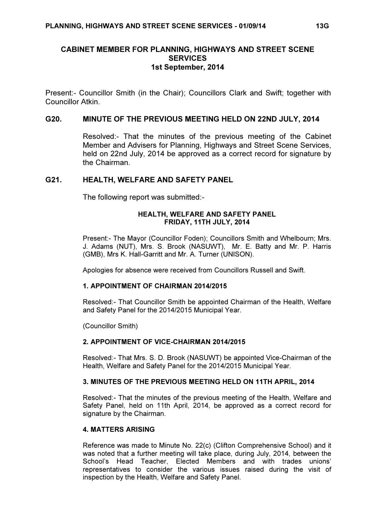# CABINET MEMBER FOR PLANNING, HIGHWAYS AND STREET SCENE **SERVICES** 1st September, 2014

Present:- Councillor Smith (in the Chair); Councillors Clark and Swift; together with Councillor Atkin.

## G20. MINUTE OF THE PREVIOUS MEETING HELD ON 22ND JULY, 2014

 Resolved:- That the minutes of the previous meeting of the Cabinet Member and Advisers for Planning, Highways and Street Scene Services, held on 22nd July, 2014 be approved as a correct record for signature by the Chairman.

## G21. HEALTH, WELFARE AND SAFETY PANEL

The following report was submitted:-

## HEALTH, WELFARE AND SAFETY PANEL FRIDAY, 11TH JULY, 2014

Present:- The Mayor (Councillor Foden); Councillors Smith and Whelbourn; Mrs. J. Adams (NUT), Mrs. S. Brook (NASUWT), Mr. E. Batty and Mr. P. Harris (GMB), Mrs K. Hall-Garritt and Mr. A. Turner (UNISON).

Apologies for absence were received from Councillors Russell and Swift.

## 1. APPOINTMENT OF CHAIRMAN 2014/2015

Resolved:- That Councillor Smith be appointed Chairman of the Health, Welfare and Safety Panel for the 2014/2015 Municipal Year.

(Councillor Smith)

## 2. APPOINTMENT OF VICE-CHAIRMAN 2014/2015

Resolved:- That Mrs. S. D. Brook (NASUWT) be appointed Vice-Chairman of the Health, Welfare and Safety Panel for the 2014/2015 Municipal Year.

## 3. MINUTES OF THE PREVIOUS MEETING HELD ON 11TH APRIL, 2014

Resolved:- That the minutes of the previous meeting of the Health, Welfare and Safety Panel, held on 11th April, 2014, be approved as a correct record for signature by the Chairman.

## 4. MATTERS ARISING

Reference was made to Minute No. 22(c) (Clifton Comprehensive School) and it was noted that a further meeting will take place, during July, 2014, between the School's Head Teacher, Elected Members and with trades unions' representatives to consider the various issues raised during the visit of inspection by the Health, Welfare and Safety Panel.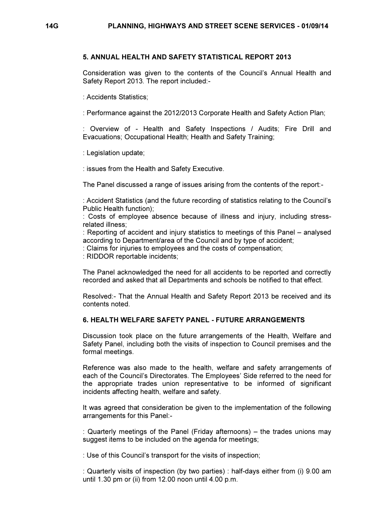#### 5. ANNUAL HEALTH AND SAFETY STATISTICAL REPORT 2013

Consideration was given to the contents of the Council's Annual Health and Safety Report 2013. The report included:-

: Accidents Statistics;

: Performance against the 2012/2013 Corporate Health and Safety Action Plan;

: Overview of - Health and Safety Inspections / Audits; Fire Drill and Evacuations; Occupational Health; Health and Safety Training;

: Legislation update;

: issues from the Health and Safety Executive.

The Panel discussed a range of issues arising from the contents of the report:-

: Accident Statistics (and the future recording of statistics relating to the Council's Public Health function);

: Costs of employee absence because of illness and injury, including stressrelated illness;

: Reporting of accident and injury statistics to meetings of this Panel – analysed according to Department/area of the Council and by type of accident;

: Claims for injuries to employees and the costs of compensation;

: RIDDOR reportable incidents;

The Panel acknowledged the need for all accidents to be reported and correctly recorded and asked that all Departments and schools be notified to that effect.

Resolved:- That the Annual Health and Safety Report 2013 be received and its contents noted.

## 6. HEALTH WELFARE SAFETY PANEL - FUTURE ARRANGEMENTS

Discussion took place on the future arrangements of the Health, Welfare and Safety Panel, including both the visits of inspection to Council premises and the formal meetings.

Reference was also made to the health, welfare and safety arrangements of each of the Council's Directorates. The Employees' Side referred to the need for the appropriate trades union representative to be informed of significant incidents affecting health, welfare and safety.

It was agreed that consideration be given to the implementation of the following arrangements for this Panel:-

: Quarterly meetings of the Panel (Friday afternoons) – the trades unions may suggest items to be included on the agenda for meetings:

: Use of this Council's transport for the visits of inspection;

: Quarterly visits of inspection (by two parties) : half-days either from (i) 9.00 am until 1.30 pm or (ii) from 12.00 noon until 4.00 p.m.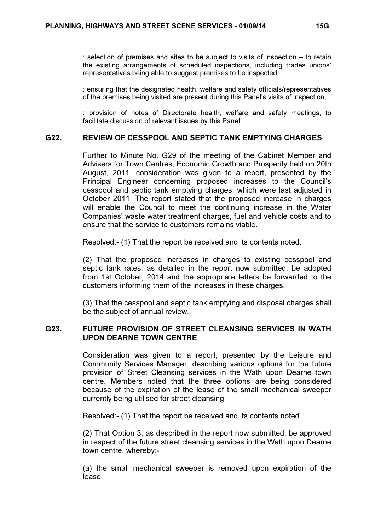: selection of premises and sites to be subject to visits of inspection – to retain the existing arrangements of scheduled inspections, including trades unions' representatives being able to suggest premises to be inspected;

: ensuring that the designated health, welfare and safety officials/representatives of the premises being visited are present during this Panel's visits of inspection;

: provision of notes of Directorate health, welfare and safety meetings, to facilitate discussion of relevant issues by this Panel.

## G22. REVIEW OF CESSPOOL AND SEPTIC TANK EMPTYING CHARGES

 Further to Minute No. G29 of the meeting of the Cabinet Member and Advisers for Town Centres, Economic Growth and Prosperity held on 20th August, 2011, consideration was given to a report, presented by the Principal Engineer concerning proposed increases to the Council's cesspool and septic tank emptying charges, which were last adjusted in October 2011. The report stated that the proposed increase in charges will enable the Council to meet the continuing increase in the Water Companies' waste water treatment charges, fuel and vehicle costs and to ensure that the service to customers remains viable.

Resolved:- (1) That the report be received and its contents noted.

(2) That the proposed increases in charges to existing cesspool and septic tank rates, as detailed in the report now submitted, be adopted from 1st October, 2014 and the appropriate letters be forwarded to the customers informing them of the increases in these charges.

(3) That the cesspool and septic tank emptying and disposal charges shall be the subject of annual review.

# G23. FUTURE PROVISION OF STREET CLEANSING SERVICES IN WATH UPON DEARNE TOWN CENTRE

 Consideration was given to a report, presented by the Leisure and Community Services Manager, describing various options for the future provision of Street Cleansing services in the Wath upon Dearne town centre. Members noted that the three options are being considered because of the expiration of the lease of the small mechanical sweeper currently being utilised for street cleansing.

Resolved:- (1) That the report be received and its contents noted.

(2) That Option 3, as described in the report now submitted, be approved in respect of the future street cleansing services in the Wath upon Dearne town centre, whereby:-

(a) the small mechanical sweeper is removed upon expiration of the lease;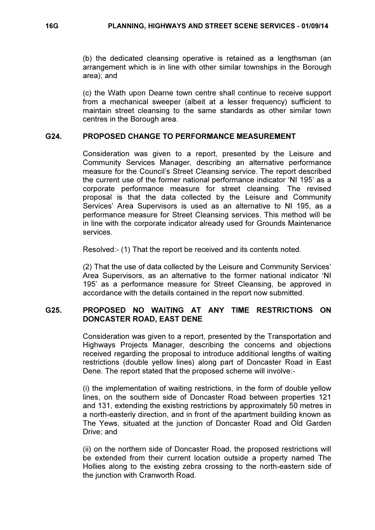(b) the dedicated cleansing operative is retained as a lengthsman (an arrangement which is in line with other similar townships in the Borough area); and

(c) the Wath upon Dearne town centre shall continue to receive support from a mechanical sweeper (albeit at a lesser frequency) sufficient to maintain street cleansing to the same standards as other similar town centres in the Borough area.

## G24. PROPOSED CHANGE TO PERFORMANCE MEASUREMENT

 Consideration was given to a report, presented by the Leisure and Community Services Manager, describing an alternative performance measure for the Council's Street Cleansing service. The report described the current use of the former national performance indicator 'NI 195' as a corporate performance measure for street cleansing. The revised proposal is that the data collected by the Leisure and Community Services' Area Supervisors is used as an alternative to NI 195, as a performance measure for Street Cleansing services. This method will be in line with the corporate indicator already used for Grounds Maintenance services.

Resolved:- (1) That the report be received and its contents noted.

(2) That the use of data collected by the Leisure and Community Services' Area Supervisors, as an alternative to the former national indicator 'NI 195' as a performance measure for Street Cleansing, be approved in accordance with the details contained in the report now submitted.

# G25. PROPOSED NO WAITING AT ANY TIME RESTRICTIONS ON DONCASTER ROAD, EAST DENE

 Consideration was given to a report, presented by the Transportation and Highways Projects Manager, describing the concerns and objections received regarding the proposal to introduce additional lengths of waiting restrictions (double yellow lines) along part of Doncaster Road in East Dene. The report stated that the proposed scheme will involve:-

(i) the implementation of waiting restrictions, in the form of double yellow lines, on the southern side of Doncaster Road between properties 121 and 131, extending the existing restrictions by approximately 50 metres in a north-easterly direction, and in front of the apartment building known as The Yews, situated at the junction of Doncaster Road and Old Garden Drive; and

(ii) on the northern side of Doncaster Road, the proposed restrictions will be extended from their current location outside a property named The Hollies along to the existing zebra crossing to the north-eastern side of the junction with Cranworth Road.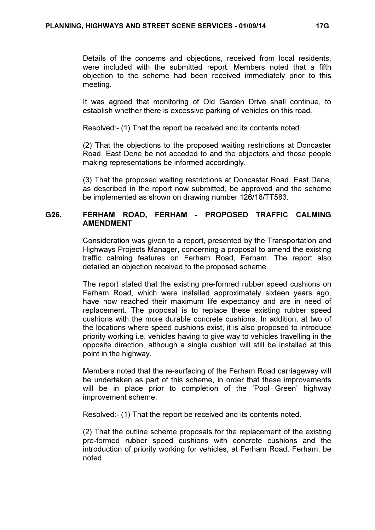Details of the concerns and objections, received from local residents, were included with the submitted report. Members noted that a fifth objection to the scheme had been received immediately prior to this meeting.

It was agreed that monitoring of Old Garden Drive shall continue, to establish whether there is excessive parking of vehicles on this road.

Resolved:- (1) That the report be received and its contents noted.

(2) That the objections to the proposed waiting restrictions at Doncaster Road, East Dene be not acceded to and the objectors and those people making representations be informed accordingly.

(3) That the proposed waiting restrictions at Doncaster Road, East Dene, as described in the report now submitted, be approved and the scheme be implemented as shown on drawing number 126/18/TT583.

# G26. FERHAM ROAD, FERHAM - PROPOSED TRAFFIC CALMING AMENDMENT

 Consideration was given to a report, presented by the Transportation and Highways Projects Manager, concerning a proposal to amend the existing traffic calming features on Ferham Road, Ferham. The report also detailed an objection received to the proposed scheme.

The report stated that the existing pre-formed rubber speed cushions on Ferham Road, which were installed approximately sixteen years ago, have now reached their maximum life expectancy and are in need of replacement. The proposal is to replace these existing rubber speed cushions with the more durable concrete cushions. In addition, at two of the locations where speed cushions exist, it is also proposed to introduce priority working i.e. vehicles having to give way to vehicles travelling in the opposite direction, although a single cushion will still be installed at this point in the highway.

Members noted that the re-surfacing of the Ferham Road carriageway will be undertaken as part of this scheme, in order that these improvements will be in place prior to completion of the 'Pool Green' highway improvement scheme.

Resolved:- (1) That the report be received and its contents noted.

(2) That the outline scheme proposals for the replacement of the existing pre-formed rubber speed cushions with concrete cushions and the introduction of priority working for vehicles, at Ferham Road, Ferham, be noted.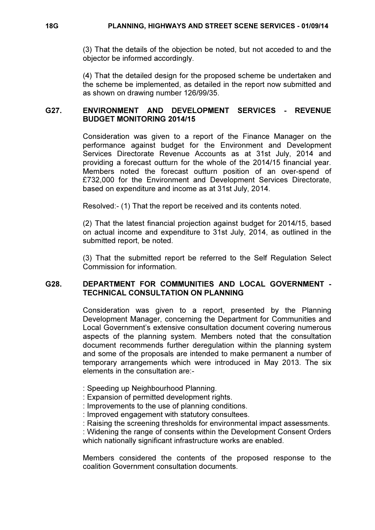(3) That the details of the objection be noted, but not acceded to and the objector be informed accordingly.

(4) That the detailed design for the proposed scheme be undertaken and the scheme be implemented, as detailed in the report now submitted and as shown on drawing number 126/99/35.

## G27. ENVIRONMENT AND DEVELOPMENT SERVICES - REVENUE BUDGET MONITORING 2014/15

 Consideration was given to a report of the Finance Manager on the performance against budget for the Environment and Development Services Directorate Revenue Accounts as at 31st July, 2014 and providing a forecast outturn for the whole of the 2014/15 financial year. Members noted the forecast outturn position of an over-spend of £732,000 for the Environment and Development Services Directorate, based on expenditure and income as at 31st July, 2014.

Resolved:- (1) That the report be received and its contents noted.

(2) That the latest financial projection against budget for 2014/15, based on actual income and expenditure to 31st July, 2014, as outlined in the submitted report, be noted.

(3) That the submitted report be referred to the Self Regulation Select Commission for information.

## G28. DEPARTMENT FOR COMMUNITIES AND LOCAL GOVERNMENT - TECHNICAL CONSULTATION ON PLANNING

 Consideration was given to a report, presented by the Planning Development Manager, concerning the Department for Communities and Local Government's extensive consultation document covering numerous aspects of the planning system. Members noted that the consultation document recommends further deregulation within the planning system and some of the proposals are intended to make permanent a number of temporary arrangements which were introduced in May 2013. The six elements in the consultation are:-

- : Speeding up Neighbourhood Planning.
- : Expansion of permitted development rights.
- : Improvements to the use of planning conditions.
- : Improved engagement with statutory consultees.
- : Raising the screening thresholds for environmental impact assessments.

: Widening the range of consents within the Development Consent Orders which nationally significant infrastructure works are enabled.

Members considered the contents of the proposed response to the coalition Government consultation documents.